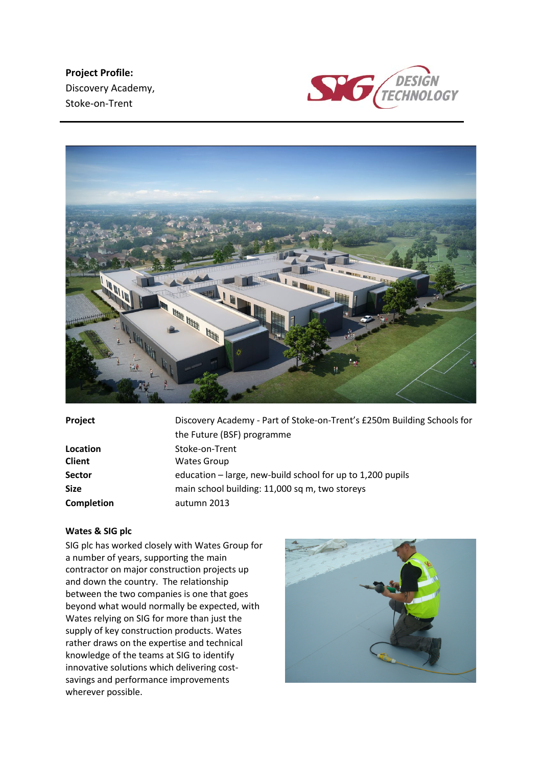**Project Profile:** Discovery Academy, Stoke-on-Trent





| Project                        | Discovery Academy - Part of Stoke-on-Trent's £250m Building Schools for<br>the Future (BSF) programme |
|--------------------------------|-------------------------------------------------------------------------------------------------------|
| Location                       | Stoke-on-Trent                                                                                        |
| <b>Client</b><br><b>Sector</b> | <b>Wates Group</b><br>education – large, new-build school for up to 1,200 pupils                      |
| <b>Size</b>                    | main school building: 11,000 sq m, two storeys                                                        |
| <b>Completion</b>              | autumn 2013                                                                                           |

## **Wates & SIG plc**

SIG plc has worked closely with Wates Group for a number of years, supporting the main contractor on major construction projects up and down the country. The relationship between the two companies is one that goes beyond what would normally be expected, with Wates relying on SIG for more than just the supply of key construction products. Wates rather draws on the expertise and technical knowledge of the teams at SIG to identify innovative solutions which delivering costsavings and performance improvements wherever possible.

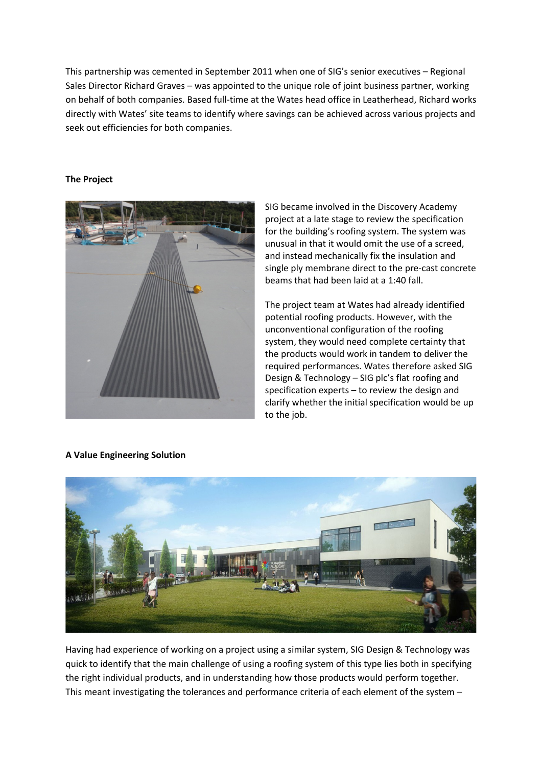This partnership was cemented in September 2011 when one of SIG's senior executives – Regional Sales Director Richard Graves – was appointed to the unique role of joint business partner, working on behalf of both companies. Based full-time at the Wates head office in Leatherhead, Richard works directly with Wates' site teams to identify where savings can be achieved across various projects and seek out efficiencies for both companies.

## **The Project**



SIG became involved in the Discovery Academy project at a late stage to review the specification for the building's roofing system. The system was unusual in that it would omit the use of a screed, and instead mechanically fix the insulation and single ply membrane direct to the pre-cast concrete beams that had been laid at a 1:40 fall.

The project team at Wates had already identified potential roofing products. However, with the unconventional configuration of the roofing system, they would need complete certainty that the products would work in tandem to deliver the required performances. Wates therefore asked SIG Design & Technology – SIG plc's flat roofing and specification experts – to review the design and clarify whether the initial specification would be up to the job.



**A Value Engineering Solution**

Having had experience of working on a project using a similar system, SIG Design & Technology was quick to identify that the main challenge of using a roofing system of this type lies both in specifying the right individual products, and in understanding how those products would perform together. This meant investigating the tolerances and performance criteria of each element of the system –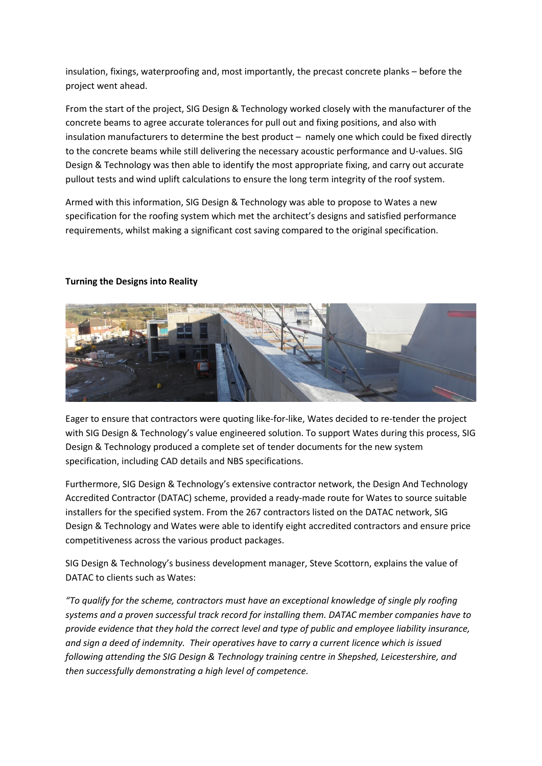insulation, fixings, waterproofing and, most importantly, the precast concrete planks – before the project went ahead.

From the start of the project, SIG Design & Technology worked closely with the manufacturer of the concrete beams to agree accurate tolerances for pull out and fixing positions, and also with insulation manufacturers to determine the best product – namely one which could be fixed directly to the concrete beams while still delivering the necessary acoustic performance and U-values. SIG Design & Technology was then able to identify the most appropriate fixing, and carry out accurate pullout tests and wind uplift calculations to ensure the long term integrity of the roof system.

Armed with this information, SIG Design & Technology was able to propose to Wates a new specification for the roofing system which met the architect's designs and satisfied performance requirements, whilst making a significant cost saving compared to the original specification.



## **Turning the Designs into Reality**

Eager to ensure that contractors were quoting like-for-like, Wates decided to re-tender the project with SIG Design & Technology's value engineered solution. To support Wates during this process, SIG Design & Technology produced a complete set of tender documents for the new system specification, including CAD details and NBS specifications.

Furthermore, SIG Design & Technology's extensive contractor network, the Design And Technology Accredited Contractor (DATAC) scheme, provided a ready-made route for Wates to source suitable installers for the specified system. From the 267 contractors listed on the DATAC network, SIG Design & Technology and Wates were able to identify eight accredited contractors and ensure price competitiveness across the various product packages.

SIG Design & Technology's business development manager, Steve Scottorn, explains the value of DATAC to clients such as Wates:

*"To qualify for the scheme, contractors must have an exceptional knowledge of single ply roofing systems and a proven successful track record for installing them. DATAC member companies have to provide evidence that they hold the correct level and type of public and employee liability insurance, and sign a deed of indemnity. Their operatives have to carry a current licence which is issued following attending the SIG Design & Technology training centre in Shepshed, Leicestershire, and then successfully demonstrating a high level of competence.*